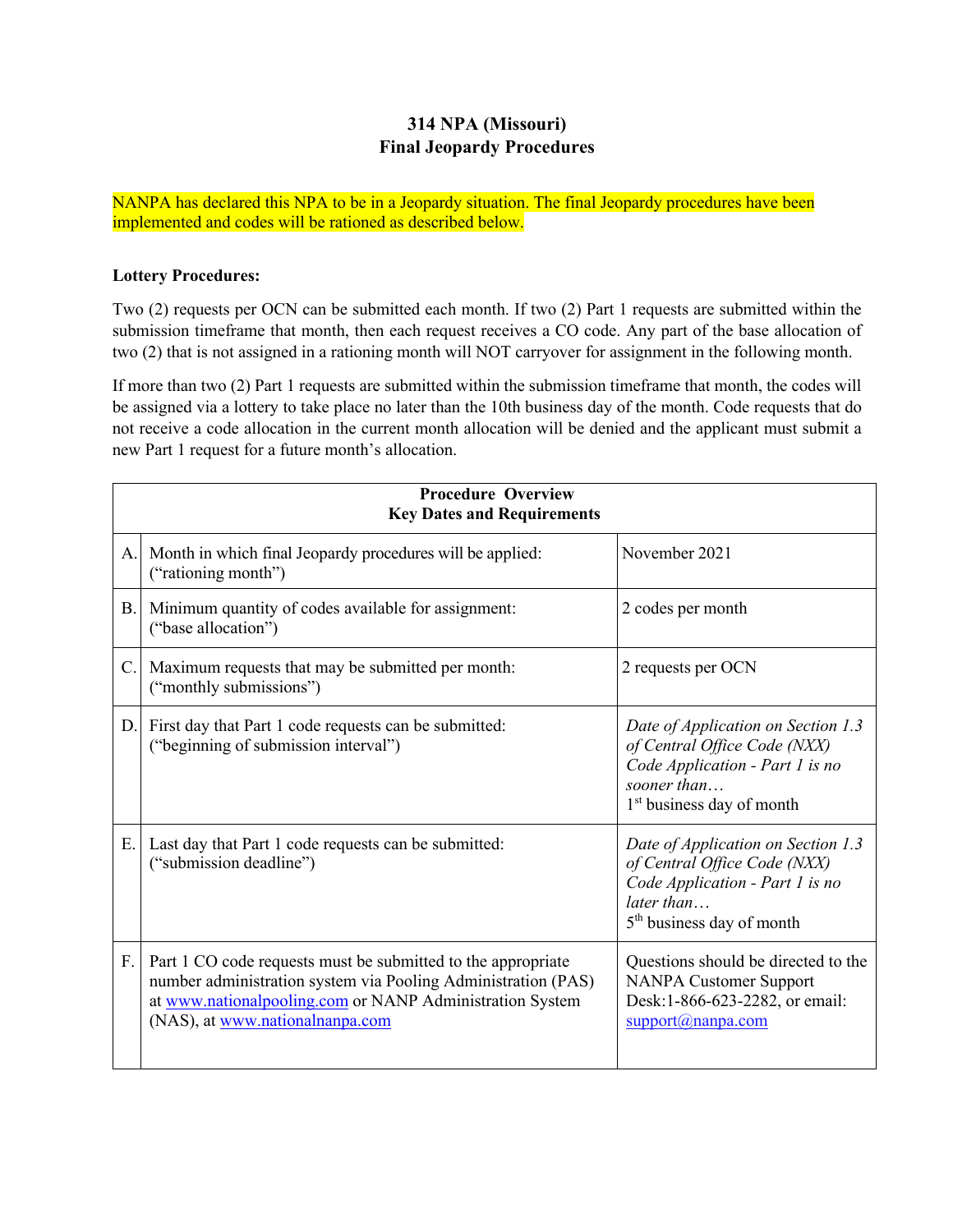## **314 NPA (Missouri) Final Jeopardy Procedures**

NANPA has declared this NPA to be in a Jeopardy situation. The final Jeopardy procedures have been implemented and codes will be rationed as described below.

## **Lottery Procedures:**

Two (2) requests per OCN can be submitted each month. If two (2) Part 1 requests are submitted within the submission timeframe that month, then each request receives a CO code. Any part of the base allocation of two (2) that is not assigned in a rationing month will NOT carryover for assignment in the following month.

If more than two (2) Part 1 requests are submitted within the submission timeframe that month, the codes will be assigned via a lottery to take place no later than the 10th business day of the month. Code requests that do not receive a code allocation in the current month allocation will be denied and the applicant must submit a new Part 1 request for a future month's allocation.

| <b>Procedure Overview</b><br><b>Key Dates and Requirements</b> |                                                                                                                                                                                                                              |                                                                                                                                                               |  |
|----------------------------------------------------------------|------------------------------------------------------------------------------------------------------------------------------------------------------------------------------------------------------------------------------|---------------------------------------------------------------------------------------------------------------------------------------------------------------|--|
| A.                                                             | Month in which final Jeopardy procedures will be applied:<br>("rationing month")                                                                                                                                             | November 2021                                                                                                                                                 |  |
| <b>B.</b>                                                      | Minimum quantity of codes available for assignment:<br>("base allocation")                                                                                                                                                   | 2 codes per month                                                                                                                                             |  |
| C.                                                             | Maximum requests that may be submitted per month:<br>("monthly submissions")                                                                                                                                                 | 2 requests per OCN                                                                                                                                            |  |
| D.                                                             | First day that Part 1 code requests can be submitted:<br>("beginning of submission interval")                                                                                                                                | Date of Application on Section 1.3<br>of Central Office Code (NXX)<br>Code Application - Part 1 is no<br>sooner than<br>1 <sup>st</sup> business day of month |  |
| Ε.                                                             | Last day that Part 1 code requests can be submitted:<br>("submission deadline")                                                                                                                                              | Date of Application on Section 1.3<br>of Central Office Code (NXX)<br>Code Application - Part 1 is no<br>later than<br>5 <sup>th</sup> business day of month  |  |
| F.                                                             | Part 1 CO code requests must be submitted to the appropriate<br>number administration system via Pooling Administration (PAS)<br>at www.nationalpooling.com or NANP Administration System<br>(NAS), at www.nationalnanpa.com | Questions should be directed to the<br><b>NANPA Customer Support</b><br>Desk:1-866-623-2282, or email:<br>support(@nampa.com)                                 |  |